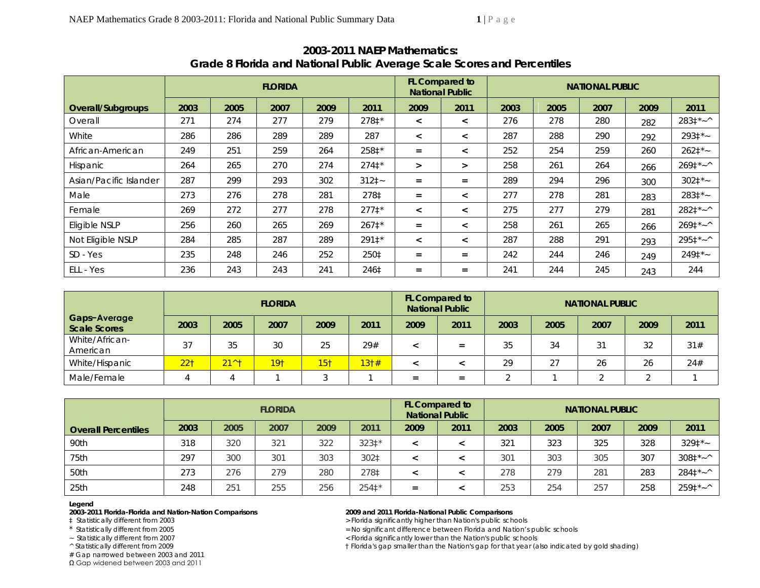|                          |      |      | <b>FLORIDA</b> |      |          |                          | FL Compared to<br><b>National Public</b> | <b>NATIONAL PUBLIC</b> |      |      |      |                              |  |
|--------------------------|------|------|----------------|------|----------|--------------------------|------------------------------------------|------------------------|------|------|------|------------------------------|--|
| <b>Overall/Subgroups</b> | 2003 | 2005 | 2007           | 2009 | 2011     | 2009                     | 2011                                     | 2003                   | 2005 | 2007 | 2009 | 2011                         |  |
| Overall                  | 271  | 274  | 277            | 279  | 278‡*    | $\prec$                  | $\,<\,$                                  | 276                    | 278  | 280  | 282  | $2831*~$                     |  |
| White                    | 286  | 286  | 289            | 289  | 287      | $\,<\,$                  | $\,<\,$                                  | 287                    | 288  | 290  | 292  | $2931*$                      |  |
| African-American         | 249  | 251  | 259            | 264  | 258‡*    | $=$                      | $\,<\,$                                  | 252                    | 254  | 259  | 260  | $2621*$                      |  |
| Hispanic                 | 264  | 265  | 270            | 274  | $2741*$  | $\geq$                   | $\geq$                                   | 258                    | 261  | 264  | 266  | $2691^{\star}$ ~^            |  |
| Asian/Pacific Islander   | 287  | 299  | 293            | 302  | $3121 -$ | $=$                      | $=$                                      | 289                    | 294  | 296  | 300  | $3021*$                      |  |
| Male                     | 273  | 276  | 278            | 281  | 278‡     | $=$                      | $\,<\,$                                  | 277                    | 278  | 281  | 283  | $2831* -$                    |  |
| Female                   | 269  | 272  | 277            | 278  | $2771*$  | $\,<\,$                  | $\,<\,$                                  | 275                    | 277  | 279  | 281  | $282^{\frac{+}{2} - \wedge}$ |  |
| Eligible NSLP            | 256  | 260  | 265            | 269  | $2671*$  | $=$                      | $\,<\,$                                  | 258                    | 261  | 265  | 266  | $2691^*$ ~ ^                 |  |
| Not Eligible NSLP        | 284  | 285  | 287            | 289  | 291‡*    | $\overline{\phantom{0}}$ | $\,<\,$                                  | 287                    | 288  | 291  | 293  | $2951*~$                     |  |
| SD - Yes                 | 235  | 248  | 246            | 252  | 250‡     | $=$                      | $=$                                      | 242                    | 244  | 246  | 249  | $2491*$                      |  |
| ELL - Yes                | 236  | 243  | 243            | 241  | 246‡     | $=$                      | $=$                                      | 241                    | 244  | 245  | 243  | 244                          |  |

# **2003-2011 NAEP Mathematics: Grade 8 Florida and National Public Average Scale Scores and Percentiles**

|                                     |                 |                | <b>FLORIDA</b>  |                 |      |      | FL Compared to<br><b>National Public</b> | <b>NATIONAL PUBLIC</b> |      |      |      |      |
|-------------------------------------|-----------------|----------------|-----------------|-----------------|------|------|------------------------------------------|------------------------|------|------|------|------|
| Gaps-Average<br><b>Scale Scores</b> | 2003            | 2005           | 2007            | 2009            | 2011 | 2009 | 2011                                     | 2003                   | 2005 | 2007 | 2009 | 2011 |
| White/African-<br>American          | 37              | 35             | 30              | 25              | 29#  |      | $=$                                      | 35                     | 34   | 31   | 32   | 31#  |
| White/Hispanic                      | 22 <sub>1</sub> | $21^{\wedge}1$ | 19 <sub>†</sub> | 15 <sub>1</sub> | 131# |      |                                          | 29                     | 27   | 26   | 26   | 24#  |
| Male/Female                         |                 |                |                 |                 |      | =    | $=$                                      |                        |      |      |      |      |

|                            |      | <b>FLORIDA</b> |      |      |       | <b>FL Compared to</b><br><b>National Public</b> | <b>NATIONAL PUBLIC</b> |      |      |      |      |                      |
|----------------------------|------|----------------|------|------|-------|-------------------------------------------------|------------------------|------|------|------|------|----------------------|
| <b>Overall Percentiles</b> | 2003 | 2005           | 2007 | 2009 | 2011  | 2009                                            | 2011                   | 2003 | 2005 | 2007 | 2009 | 2011                 |
| 90th                       | 318  | 320            | 321  | 322  | 323‡* |                                                 |                        | 321  | 323  | 325  | 328  | $3291*$              |
| 75th                       | 297  | 300            | 301  | 303  | 302‡  |                                                 |                        | 301  | 303  | 305  | 307  | $3081^* - ^{\wedge}$ |
| 50th                       | 273  | 276            | 279  | 280  | 278‡  |                                                 |                        | 278  | 279  | 281  | 283  | $2841*20$            |
| 25th                       | 248  | 251            | 255  | 256  | 2541* | $=$                                             |                        | 253  | 254  | 257  | 258  | $2591^*$ ~ ^         |

## **Legend**

**2003-2011 Florida-Florida and Nation-Nation Comparisons 2009 and 2011 Florida-National Public Comparisons** 

# Gap narrowed between 2003 and 2011

Ω Gap widened between 2003 and 2011

> Florida significantly higher than Nation's public schools

\* Statistically different from 2005 <br>
Statistically different from 2007 <br>
Statistically different from 2007 <br>
Statistically different from 2007 <br>
Statistically different from 2007 <br>
Statistically different from 2007 <br>
Stat

~ Statistically different from 2007 < Florida significantly lower than the Nation's public schools

^ Statistically different from 2009 † Florida's gap smaller than the Nation's gap for that year (also indicated by gold shading)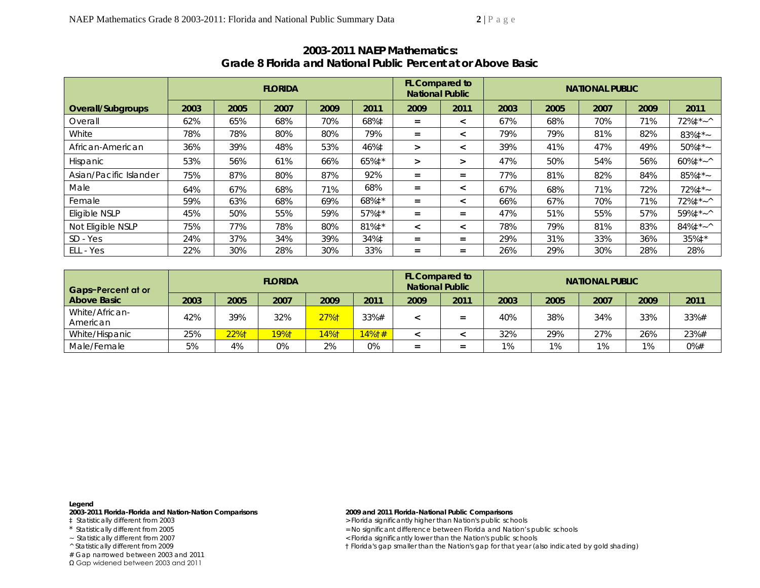|                        |      |      | <b>FLORIDA</b> |      |                  | FL Compared to<br><b>National Public</b> |                          | <b>NATIONAL PUBLIC</b> |      |      |      |                         |
|------------------------|------|------|----------------|------|------------------|------------------------------------------|--------------------------|------------------------|------|------|------|-------------------------|
| Overall/Subgroups      | 2003 | 2005 | 2007           | 2009 | 2011             | 2009                                     | 2011                     | 2003                   | 2005 | 2007 | 2009 | 2011                    |
| Overall                | 62%  | 65%  | 68%            | 70%  | 68%‡             | $=$                                      | $\,<\,$                  | 67%                    | 68%  | 70%  | 71%  | $72\%$ <sup>*</sup> ~ ^ |
| White                  | 78%  | 78%  | 80%            | 80%  | 79%              | $=$                                      | $\prec$                  | 79%                    | 79%  | 81%  | 82%  | $83\%$ ‡*~              |
| African-American       | 36%  | 39%  | 48%            | 53%  | 46%‡             | $\geq$                                   | $\overline{\phantom{a}}$ | 39%                    | 41%  | 47%  | 49%  | $50\%$ ‡*~              |
| Hispanic               | 53%  | 56%  | 61%            | 66%  | 65%‡*            | ⋗                                        | $\geq$                   | 47%                    | 50%  | 54%  | 56%  | $60\%$ <sup>*</sup> ~ ^ |
| Asian/Pacific Islander | 75%  | 87%  | 80%            | 87%  | 92%              | $=$                                      | $=$                      | 77%                    | 81%  | 82%  | 84%  | 85%‡*~                  |
| Male                   | 64%  | 67%  | 68%            | 71%  | 68%              | $=$                                      | $\prec$                  | 67%                    | 68%  | 71%  | 72%  | $72\%$ ‡*~              |
| Female                 | 59%  | 63%  | 68%            | 69%  | 68%‡*            | $=$                                      | $\prec$                  | 66%                    | 67%  | 70%  | 71%  | $72\%$ $\ddagger$ * ~ ^ |
| Eligible NSLP          | 45%  | 50%  | 55%            | 59%  | 57%‡*            | $=$                                      | $=$                      | 47%                    | 51%  | 55%  | 57%  | 59%‡*~^                 |
| Not Eligible NSLP      | 75%  | 77%  | 78%            | 80%  | 81% $\ddagger$ * | $\,<\,$                                  | $\overline{\phantom{0}}$ | 78%                    | 79%  | 81%  | 83%  | $84\%$ $\ddagger$ * ~ ^ |
| SD - Yes               | 24%  | 37%  | 34%            | 39%  | 34%‡             | $=$                                      | $=$                      | 29%                    | 31%  | 33%  | 36%  | 35% $\ddagger$ *        |
| ELL - Yes              | 22%  | 30%  | 28%            | 30%  | 33%              | $=$                                      | $=$                      | 26%                    | 29%  | 30%  | 28%  | 28%                     |

## **2003-2011 NAEP Mathematics: Grade 8 Florida and National Public Percent at or Above** *Basic*

| Gaps-Percent at or         |      |      | <b>FLORIDA</b> |      |       | <b>FL Compared to</b><br><b>National Public</b> |      | <b>NATIONAL PUBLIC</b> |      |      |      |      |
|----------------------------|------|------|----------------|------|-------|-------------------------------------------------|------|------------------------|------|------|------|------|
| Above Basic                | 2003 | 2005 | 2007           | 2009 | 2011  | 2009                                            | 2011 | 2003                   | 2005 | 2007 | 2009 | 2011 |
| White/African-<br>American | 42%  | 39%  | 32%            | 27%1 | 33%#  |                                                 | =    | 40%                    | 38%  | 34%  | 33%  | 33%# |
| White/Hispanic             | 25%  | 22%† | 19%†           | 14%1 | 14%1# |                                                 |      | 32%                    | 29%  | 27%  | 26%  | 23%# |
| Male/Female                | 5%   | 4%   | 0%             | 2%   | 0%    |                                                 |      | $1\%$                  | 1%   | 1%   | 1%   | 0%#  |

## **Legend**

**2003-2011 Florida-Florida and Nation-Nation Comparisons 2009 and 2011 Florida-National Public Comparisons** 

# Gap narrowed between 2003 and 2011

Ω Gap widened between 2003 and 2011

> Florida significantly higher than Nation's public schools

- \* Statistically different from 2005 <br>
Statistically different from 2007 <br>
Statistically different from 2007 <br>
Statistically different from 2007 <br>
Statistically different from 2007 <br>
Statistically different from 2007 <br>
Stat
	- ~ Statistically different from 2007 < Florida significantly lower than the Nation's public schools

^ Statistically different from 2009 † Florida's gap smaller than the Nation's gap for that year (also indicated by gold shading)